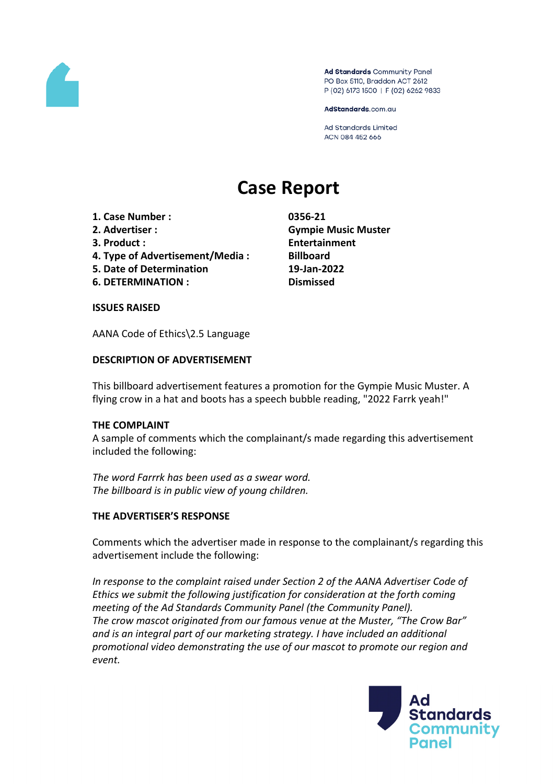

Ad Standards Community Panel PO Box 5110, Braddon ACT 2612 P (02) 6173 1500 | F (02) 6262 9833

AdStandards.com.au

Ad Standards Limited ACN 084 452 666

# **Case Report**

- **1. Case Number : 0356-21**
- 
- 
- **4. Type of Advertisement/Media : Billboard**
- **5. Date of Determination 19-Jan-2022**
- **6. DETERMINATION : Dismissed**

**2. Advertiser : Gympie Music Muster 3. Product : Entertainment**

## **ISSUES RAISED**

AANA Code of Ethics\2.5 Language

## **DESCRIPTION OF ADVERTISEMENT**

This billboard advertisement features a promotion for the Gympie Music Muster. A flying crow in a hat and boots has a speech bubble reading, "2022 Farrk yeah!"

## **THE COMPLAINT**

A sample of comments which the complainant/s made regarding this advertisement included the following:

*The word Farrrk has been used as a swear word. The billboard is in public view of young children.*

## **THE ADVERTISER'S RESPONSE**

Comments which the advertiser made in response to the complainant/s regarding this advertisement include the following:

*In response to the complaint raised under Section 2 of the AANA Advertiser Code of Ethics we submit the following justification for consideration at the forth coming meeting of the Ad Standards Community Panel (the Community Panel). The crow mascot originated from our famous venue at the Muster, "The Crow Bar" and is an integral part of our marketing strategy. I have included an additional promotional video demonstrating the use of our mascot to promote our region and event.* 

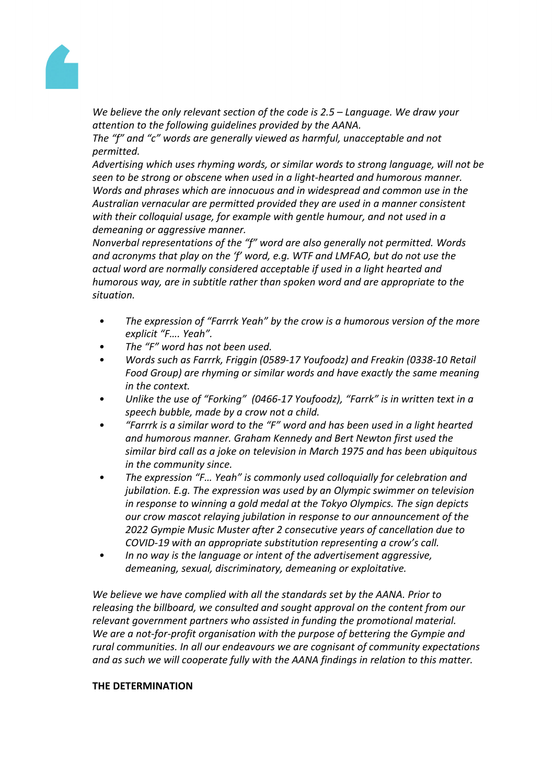

*We believe the only relevant section of the code is 2.5 – Language. We draw your attention to the following guidelines provided by the AANA.*

*The "f" and "c" words are generally viewed as harmful, unacceptable and not permitted.*

*Advertising which uses rhyming words, or similar words to strong language, will not be seen to be strong or obscene when used in a light-hearted and humorous manner. Words and phrases which are innocuous and in widespread and common use in the Australian vernacular are permitted provided they are used in a manner consistent with their colloquial usage, for example with gentle humour, and not used in a demeaning or aggressive manner.*

*Nonverbal representations of the "f" word are also generally not permitted. Words and acronyms that play on the 'f' word, e.g. WTF and LMFAO, but do not use the actual word are normally considered acceptable if used in a light hearted and humorous way, are in subtitle rather than spoken word and are appropriate to the situation.*

- *• The expression of "Farrrk Yeah" by the crow is a humorous version of the more explicit "F…. Yeah".*
- *• The "F" word has not been used.*
- *• Words such as Farrrk, Friggin (0589-17 Youfoodz) and Freakin (0338-10 Retail Food Group) are rhyming or similar words and have exactly the same meaning in the context.*
- *• Unlike the use of "Forking" (0466-17 Youfoodz), "Farrk" is in written text in a speech bubble, made by a crow not a child.*
- *• "Farrrk is a similar word to the "F" word and has been used in a light hearted and humorous manner. Graham Kennedy and Bert Newton first used the similar bird call as a joke on television in March 1975 and has been ubiquitous in the community since.*
- *• The expression "F… Yeah" is commonly used colloquially for celebration and jubilation. E.g. The expression was used by an Olympic swimmer on television in response to winning a gold medal at the Tokyo Olympics. The sign depicts our crow mascot relaying jubilation in response to our announcement of the 2022 Gympie Music Muster after 2 consecutive years of cancellation due to COVID-19 with an appropriate substitution representing a crow's call.*
- *• In no way is the language or intent of the advertisement aggressive, demeaning, sexual, discriminatory, demeaning or exploitative.*

*We believe we have complied with all the standards set by the AANA. Prior to releasing the billboard, we consulted and sought approval on the content from our relevant government partners who assisted in funding the promotional material. We are a not-for-profit organisation with the purpose of bettering the Gympie and rural communities. In all our endeavours we are cognisant of community expectations and as such we will cooperate fully with the AANA findings in relation to this matter.*

## **THE DETERMINATION**